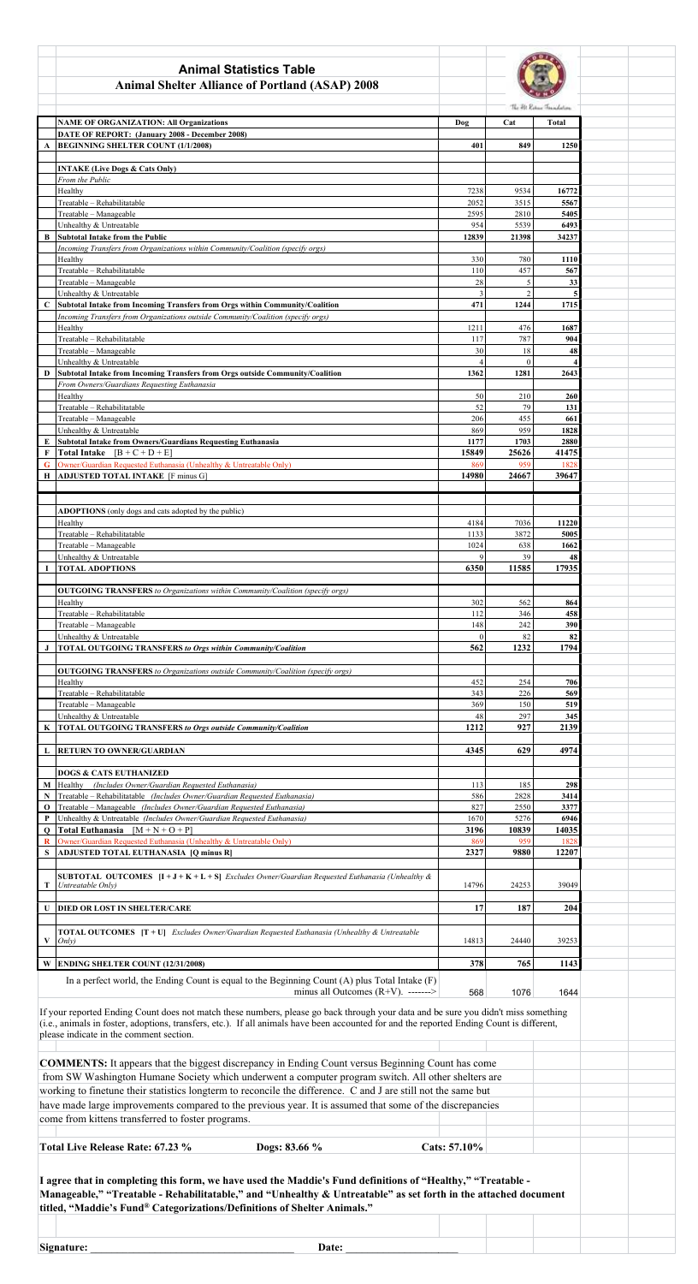| <b>Animal Statistics Table</b><br><b>Animal Shelter Alliance of Portland (ASAP) 2008</b>                                                                                                                                                                                                                                                                                                                                                                                                                                                                                                                                                                                                                                                                                   |                                                                                                                     |                |                |                           |  |  |
|----------------------------------------------------------------------------------------------------------------------------------------------------------------------------------------------------------------------------------------------------------------------------------------------------------------------------------------------------------------------------------------------------------------------------------------------------------------------------------------------------------------------------------------------------------------------------------------------------------------------------------------------------------------------------------------------------------------------------------------------------------------------------|---------------------------------------------------------------------------------------------------------------------|----------------|----------------|---------------------------|--|--|
|                                                                                                                                                                                                                                                                                                                                                                                                                                                                                                                                                                                                                                                                                                                                                                            |                                                                                                                     |                |                | The Fit Robert Frankelson |  |  |
|                                                                                                                                                                                                                                                                                                                                                                                                                                                                                                                                                                                                                                                                                                                                                                            | <b>NAME OF ORGANIZATION: All Organizations</b><br>DATE OF REPORT: (January 2008 - December 2008)                    | Dog            | Cat            | <b>Total</b>              |  |  |
|                                                                                                                                                                                                                                                                                                                                                                                                                                                                                                                                                                                                                                                                                                                                                                            | <b>BEGINNING SHELTER COUNT (1/1/2008)</b>                                                                           | 401            | 849            | 1250                      |  |  |
|                                                                                                                                                                                                                                                                                                                                                                                                                                                                                                                                                                                                                                                                                                                                                                            |                                                                                                                     |                |                |                           |  |  |
|                                                                                                                                                                                                                                                                                                                                                                                                                                                                                                                                                                                                                                                                                                                                                                            | <b>INTAKE (Live Dogs &amp; Cats Only)</b>                                                                           |                |                |                           |  |  |
|                                                                                                                                                                                                                                                                                                                                                                                                                                                                                                                                                                                                                                                                                                                                                                            | From the Public<br>Healthy                                                                                          | 7238           | 9534           | 16772                     |  |  |
|                                                                                                                                                                                                                                                                                                                                                                                                                                                                                                                                                                                                                                                                                                                                                                            | Treatable - Rehabilitatable                                                                                         | 2052           | 3515           | 5567                      |  |  |
|                                                                                                                                                                                                                                                                                                                                                                                                                                                                                                                                                                                                                                                                                                                                                                            | Treatable - Manageable                                                                                              | 2595           | 2810           | 5405                      |  |  |
|                                                                                                                                                                                                                                                                                                                                                                                                                                                                                                                                                                                                                                                                                                                                                                            | Unhealthy & Untreatable                                                                                             | 954            | 5539           | 6493                      |  |  |
|                                                                                                                                                                                                                                                                                                                                                                                                                                                                                                                                                                                                                                                                                                                                                                            | <b>Subtotal Intake from the Public</b>                                                                              | 12839          | 21398          | 34237                     |  |  |
|                                                                                                                                                                                                                                                                                                                                                                                                                                                                                                                                                                                                                                                                                                                                                                            | Incoming Transfers from Organizations within Community/Coalition (specify orgs)                                     |                |                |                           |  |  |
|                                                                                                                                                                                                                                                                                                                                                                                                                                                                                                                                                                                                                                                                                                                                                                            | Healthy<br>Treatable - Rehabilitatable                                                                              | 330<br>110     | 780<br>457     | 1110<br>567               |  |  |
|                                                                                                                                                                                                                                                                                                                                                                                                                                                                                                                                                                                                                                                                                                                                                                            | Treatable - Manageable                                                                                              | $28\,$         | 5              | 33                        |  |  |
|                                                                                                                                                                                                                                                                                                                                                                                                                                                                                                                                                                                                                                                                                                                                                                            | Unhealthy & Untreatable                                                                                             | 3              | $\mathfrak{D}$ |                           |  |  |
|                                                                                                                                                                                                                                                                                                                                                                                                                                                                                                                                                                                                                                                                                                                                                                            | Subtotal Intake from Incoming Transfers from Orgs within Community/Coalition                                        | 471            | 1244           | 1715                      |  |  |
|                                                                                                                                                                                                                                                                                                                                                                                                                                                                                                                                                                                                                                                                                                                                                                            | Incoming Transfers from Organizations outside Community/Coalition (specify orgs)                                    |                |                |                           |  |  |
|                                                                                                                                                                                                                                                                                                                                                                                                                                                                                                                                                                                                                                                                                                                                                                            | Healthy<br>Treatable - Rehabilitatable                                                                              | 1211<br>117    | 476<br>787     | 1687<br>904               |  |  |
|                                                                                                                                                                                                                                                                                                                                                                                                                                                                                                                                                                                                                                                                                                                                                                            | Treatable - Manageable                                                                                              | 30             | 18             | 48                        |  |  |
|                                                                                                                                                                                                                                                                                                                                                                                                                                                                                                                                                                                                                                                                                                                                                                            | Unhealthy & Untreatable                                                                                             | $\overline{4}$ | $\theta$       |                           |  |  |
|                                                                                                                                                                                                                                                                                                                                                                                                                                                                                                                                                                                                                                                                                                                                                                            | Subtotal Intake from Incoming Transfers from Orgs outside Community/Coalition                                       | 1362           | 1281           | 2643                      |  |  |
|                                                                                                                                                                                                                                                                                                                                                                                                                                                                                                                                                                                                                                                                                                                                                                            | From Owners/Guardians Requesting Euthanasia                                                                         |                |                |                           |  |  |
|                                                                                                                                                                                                                                                                                                                                                                                                                                                                                                                                                                                                                                                                                                                                                                            | Healthy                                                                                                             | 50             | 210            | 260                       |  |  |
|                                                                                                                                                                                                                                                                                                                                                                                                                                                                                                                                                                                                                                                                                                                                                                            | Treatable - Rehabilitatable                                                                                         | 52             | 79             | 131                       |  |  |
|                                                                                                                                                                                                                                                                                                                                                                                                                                                                                                                                                                                                                                                                                                                                                                            | Treatable - Manageable<br>Unhealthy & Untreatable                                                                   | 206<br>869     | 455<br>959     | 661<br>1828               |  |  |
|                                                                                                                                                                                                                                                                                                                                                                                                                                                                                                                                                                                                                                                                                                                                                                            | Subtotal Intake from Owners/Guardians Requesting Euthanasia                                                         | 1177           | 1703           | 2880                      |  |  |
|                                                                                                                                                                                                                                                                                                                                                                                                                                                                                                                                                                                                                                                                                                                                                                            | Total Intake $[B + C + D + E]$                                                                                      | 15849          | 25626          | 41475                     |  |  |
|                                                                                                                                                                                                                                                                                                                                                                                                                                                                                                                                                                                                                                                                                                                                                                            | Owner/Guardian Requested Euthanasia (Unhealthy & Untreatable Only)                                                  | 869            | 959            | 1828                      |  |  |
|                                                                                                                                                                                                                                                                                                                                                                                                                                                                                                                                                                                                                                                                                                                                                                            | <b>ADJUSTED TOTAL INTAKE</b> [F minus G]                                                                            | 14980          | 24667          | 39647                     |  |  |
|                                                                                                                                                                                                                                                                                                                                                                                                                                                                                                                                                                                                                                                                                                                                                                            |                                                                                                                     |                |                |                           |  |  |
|                                                                                                                                                                                                                                                                                                                                                                                                                                                                                                                                                                                                                                                                                                                                                                            |                                                                                                                     |                |                |                           |  |  |
|                                                                                                                                                                                                                                                                                                                                                                                                                                                                                                                                                                                                                                                                                                                                                                            | ADOPTIONS (only dogs and cats adopted by the public)<br>Healthy                                                     | 4184           | 7036           | 11220                     |  |  |
|                                                                                                                                                                                                                                                                                                                                                                                                                                                                                                                                                                                                                                                                                                                                                                            | Treatable - Rehabilitatable                                                                                         | 1133           | 3872           | 5005                      |  |  |
|                                                                                                                                                                                                                                                                                                                                                                                                                                                                                                                                                                                                                                                                                                                                                                            | Treatable - Manageable                                                                                              | 1024           | 638            | 1662                      |  |  |
|                                                                                                                                                                                                                                                                                                                                                                                                                                                                                                                                                                                                                                                                                                                                                                            | Unhealthy & Untreatable                                                                                             | 9              | 39             | 48                        |  |  |
|                                                                                                                                                                                                                                                                                                                                                                                                                                                                                                                                                                                                                                                                                                                                                                            | <b>TOTAL ADOPTIONS</b>                                                                                              | 6350           | 11585          | 17935                     |  |  |
|                                                                                                                                                                                                                                                                                                                                                                                                                                                                                                                                                                                                                                                                                                                                                                            |                                                                                                                     |                |                |                           |  |  |
|                                                                                                                                                                                                                                                                                                                                                                                                                                                                                                                                                                                                                                                                                                                                                                            | <b>OUTGOING TRANSFERS</b> to Organizations within Community/Coalition (specify orgs)                                |                |                |                           |  |  |
|                                                                                                                                                                                                                                                                                                                                                                                                                                                                                                                                                                                                                                                                                                                                                                            | Healthy<br>Treatable - Rehabilitatable                                                                              | 302<br>112     | 562<br>346     | 864<br>458                |  |  |
|                                                                                                                                                                                                                                                                                                                                                                                                                                                                                                                                                                                                                                                                                                                                                                            | Treatable - Manageable                                                                                              | 148            | 242            | 390                       |  |  |
|                                                                                                                                                                                                                                                                                                                                                                                                                                                                                                                                                                                                                                                                                                                                                                            | Unhealthy & Untreatable                                                                                             | $\Omega$       | 82             | 82                        |  |  |
|                                                                                                                                                                                                                                                                                                                                                                                                                                                                                                                                                                                                                                                                                                                                                                            | <b>TOTAL OUTGOING TRANSFERS to Orgs within Community/Coalition</b>                                                  | 562            | 1232           | 1794                      |  |  |
|                                                                                                                                                                                                                                                                                                                                                                                                                                                                                                                                                                                                                                                                                                                                                                            |                                                                                                                     |                |                |                           |  |  |
|                                                                                                                                                                                                                                                                                                                                                                                                                                                                                                                                                                                                                                                                                                                                                                            | <b>OUTGOING TRANSFERS</b> to Organizations outside Community/Coalition (specify orgs)                               |                |                |                           |  |  |
|                                                                                                                                                                                                                                                                                                                                                                                                                                                                                                                                                                                                                                                                                                                                                                            | Healthy<br>Treatable - Rehabilitatable                                                                              | 452<br>343     | 254<br>226     | 706<br>569                |  |  |
|                                                                                                                                                                                                                                                                                                                                                                                                                                                                                                                                                                                                                                                                                                                                                                            | Treatable - Manageable                                                                                              | 369            | 150            | 519                       |  |  |
|                                                                                                                                                                                                                                                                                                                                                                                                                                                                                                                                                                                                                                                                                                                                                                            | Unhealthy & Untreatable                                                                                             | 48             | 297            | 345                       |  |  |
|                                                                                                                                                                                                                                                                                                                                                                                                                                                                                                                                                                                                                                                                                                                                                                            | <b>TOTAL OUTGOING TRANSFERS to Orgs outside Community/Coalition</b>                                                 | 1212           | 927            | 2139                      |  |  |
|                                                                                                                                                                                                                                                                                                                                                                                                                                                                                                                                                                                                                                                                                                                                                                            |                                                                                                                     |                |                |                           |  |  |
|                                                                                                                                                                                                                                                                                                                                                                                                                                                                                                                                                                                                                                                                                                                                                                            | <b>RETURN TO OWNER/GUARDIAN</b>                                                                                     | 4345           | 629            | 4974                      |  |  |
|                                                                                                                                                                                                                                                                                                                                                                                                                                                                                                                                                                                                                                                                                                                                                                            | <b>DOGS &amp; CATS EUTHANIZED</b>                                                                                   |                |                |                           |  |  |
|                                                                                                                                                                                                                                                                                                                                                                                                                                                                                                                                                                                                                                                                                                                                                                            | Healthy (Includes Owner/Guardian Requested Euthanasia)                                                              | 113            | 185            | 298                       |  |  |
|                                                                                                                                                                                                                                                                                                                                                                                                                                                                                                                                                                                                                                                                                                                                                                            | Treatable - Rehabilitatable (Includes Owner/Guardian Requested Euthanasia)                                          | 586            | 2828           | 3414                      |  |  |
|                                                                                                                                                                                                                                                                                                                                                                                                                                                                                                                                                                                                                                                                                                                                                                            | Treatable - Manageable (Includes Owner/Guardian Requested Euthanasia)                                               | 827            | 2550           | 3377                      |  |  |
|                                                                                                                                                                                                                                                                                                                                                                                                                                                                                                                                                                                                                                                                                                                                                                            | Unhealthy & Untreatable (Includes Owner/Guardian Requested Euthanasia)                                              | 1670           | 5276           | 6946                      |  |  |
|                                                                                                                                                                                                                                                                                                                                                                                                                                                                                                                                                                                                                                                                                                                                                                            | Total Euthanasia $[M+N+O+P]$<br>Owner/Guardian Requested Euthanasia (Unhealthy & Untreatable Only)                  | 3196           | 10839          | 14035                     |  |  |
|                                                                                                                                                                                                                                                                                                                                                                                                                                                                                                                                                                                                                                                                                                                                                                            | <b>ADJUSTED TOTAL EUTHANASIA [Q minus R]</b>                                                                        | 869<br>2327    | 959<br>9880    | 1828<br>12207             |  |  |
|                                                                                                                                                                                                                                                                                                                                                                                                                                                                                                                                                                                                                                                                                                                                                                            |                                                                                                                     |                |                |                           |  |  |
|                                                                                                                                                                                                                                                                                                                                                                                                                                                                                                                                                                                                                                                                                                                                                                            | <b>SUBTOTAL OUTCOMES</b> $[I + J + K + L + S]$ <i>Excludes Owner/Guardian Requested Euthanasia (Unhealthy &amp;</i> |                |                |                           |  |  |
|                                                                                                                                                                                                                                                                                                                                                                                                                                                                                                                                                                                                                                                                                                                                                                            | Untreatable Only)                                                                                                   | 14796          | 24253          | 39049                     |  |  |
|                                                                                                                                                                                                                                                                                                                                                                                                                                                                                                                                                                                                                                                                                                                                                                            |                                                                                                                     |                |                |                           |  |  |
|                                                                                                                                                                                                                                                                                                                                                                                                                                                                                                                                                                                                                                                                                                                                                                            | DIED OR LOST IN SHELTER/CARE                                                                                        | 17             | 187            | 204                       |  |  |
|                                                                                                                                                                                                                                                                                                                                                                                                                                                                                                                                                                                                                                                                                                                                                                            | <b>TOTAL OUTCOMES</b> [T + U] Excludes Owner/Guardian Requested Euthanasia (Unhealthy & Untreatable                 |                |                |                           |  |  |
|                                                                                                                                                                                                                                                                                                                                                                                                                                                                                                                                                                                                                                                                                                                                                                            | Only)                                                                                                               | 14813          | 24440          | 39253                     |  |  |
|                                                                                                                                                                                                                                                                                                                                                                                                                                                                                                                                                                                                                                                                                                                                                                            |                                                                                                                     |                |                |                           |  |  |
|                                                                                                                                                                                                                                                                                                                                                                                                                                                                                                                                                                                                                                                                                                                                                                            | <b>ENDING SHELTER COUNT (12/31/2008)</b>                                                                            | 378            | 765            | 1143                      |  |  |
|                                                                                                                                                                                                                                                                                                                                                                                                                                                                                                                                                                                                                                                                                                                                                                            | In a perfect world, the Ending Count is equal to the Beginning Count $(A)$ plus Total Intake $(F)$                  |                |                |                           |  |  |
|                                                                                                                                                                                                                                                                                                                                                                                                                                                                                                                                                                                                                                                                                                                                                                            | minus all Outcomes $(R+V)$ . ------->                                                                               | 568            | 1076           | 1644                      |  |  |
| If your reported Ending Count does not match these numbers, please go back through your data and be sure you didn't miss something<br>(i.e., animals in foster, adoptions, transfers, etc.). If all animals have been accounted for and the reported Ending Count is different,<br>please indicate in the comment section.<br><b>COMMENTS:</b> It appears that the biggest discrepancy in Ending Count versus Beginning Count has come<br>from SW Washington Humane Society which underwent a computer program switch. All other shelters are<br>working to finetune their statistics longterm to reconcile the difference. C and J are still not the same but<br>have made large improvements compared to the previous year. It is assumed that some of the discrepancies |                                                                                                                     |                |                |                           |  |  |
|                                                                                                                                                                                                                                                                                                                                                                                                                                                                                                                                                                                                                                                                                                                                                                            | come from kittens transferred to foster programs.<br>Total Live Release Rate: 67.23 %<br>Dogs: 83.66 %              | Cats: 57.10%   |                |                           |  |  |
| I agree that in completing this form, we have used the Maddie's Fund definitions of "Healthy," "Treatable -<br>Manageable," "Treatable - Rehabilitatable," and "Unhealthy & Untreatable" as set forth in the attached document<br>titled, "Maddie's Fund® Categorizations/Definitions of Shelter Animals."                                                                                                                                                                                                                                                                                                                                                                                                                                                                 |                                                                                                                     |                |                |                           |  |  |
|                                                                                                                                                                                                                                                                                                                                                                                                                                                                                                                                                                                                                                                                                                                                                                            | Signature:<br>Date:                                                                                                 |                |                |                           |  |  |